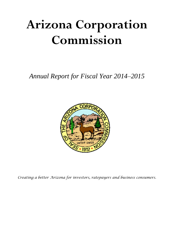# **Arizona Corporation Commission**

*Annual Report for Fiscal Year 2014–2015*



*Creating a better Arizona for investors, ratepayers and business consumers.*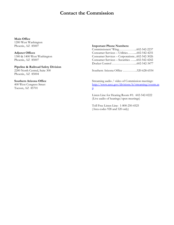# **Contact the Commission**

# **Main Office**

1200 West Washington Phoenix, AZ 85007

**Adjunct Offices** 1300 & 1400 West Washington Phoenix, AZ 85007

**Pipeline & Railroad Safety Division** 2200 North Central, Suite 300 Phoenix, AZ 85004

#### **Southern Arizona Office**

400 West Congress Street Tucson, AZ 85701

#### **Important Phone Numbers:**

| Consumer Services - Utilities602-542-4251    |  |
|----------------------------------------------|--|
| Consumer Services - Corporations602-542-3026 |  |
| Consumer Services - Securities 602-542-4242  |  |
|                                              |  |

Southern Arizona Office …………..520-628-6554

Streaming audio / video of Commission meetings: [http://www.azcc.gov/divisions/it/streaming/events.as](http://www.azcc.gov/divisions/it/streaming/events.asp) [p](http://www.azcc.gov/divisions/it/streaming/events.asp)

Listen Line for Hearing Room #1: 602-542-0222 (Live audio of hearings/open meetings)

Toll Free Listen Line: 1-800-250-4525 (Area codes 928 and 520 only)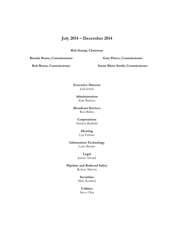# **July 2014 – December 2014**

**Bob Stump, Chairman**

**Brenda Burns, Commissioner**

**Gary Pierce, Commissioner**

**Bob Burns, Commissioner**

**Susan Bitter Smith, Commissioner**

**Executive Director** Jodi Jerich

**Administration** Kim Battista

**Broadcast Services** Ron Bellus

> **Corporations** Patricia Barfield

# **Hearing**

Lyn Farmer

**Information Technology** Letty Butner

> **Legal** Janice Alward

**Pipeline and Railroad Safety** Robert Marvin

> **Securities** Matt Neubert

# **Utilities**

Steve Olea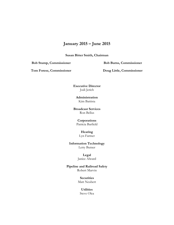# **January 2015 – June 2015**

**Susan Bitter Smith, Chairman**

**Bob Stump, Commissioner**

**Bob Burns, Commissioner**

**Tom Forese, Commissioner**

**Doug Little, Commissioner**

**Executive Director** Jodi Jerich

**Administration** Kim Battista

**Broadcast Services** Ron Bellus

> **Corporations** Patricia Barfield

## **Hearing**

Lyn Farmer

**Information Technology** Letty Butner

## **Legal** Janice Alward

**Pipeline and Railroad Safety** Robert Marvin

> **Securities** Matt Neubert

# **Utilities**

Steve Olea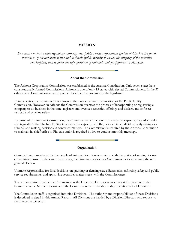# **MISSION**

*To exercise exclusive state regulatory authority over public service corporations (public utilities) in the public interest; to grant corporate status and maintain public records; to ensure the integrity of the securities marketplace; and to foster the safe operation of railroads and gas pipelines in Arizona.*

## **About the Commission**

The Arizona Corporation Commission was established in the Arizona Constitution. Only seven states have constitutionally formed Commissions. Arizona is one of only 13 states with elected Commissioners. In the 37 other states, Commissioners are appointed by either the governor or the legislature.

In most states, the Commission is known as the Public Service Commission or the Public Utility Commission. However, in Arizona the Commission oversees the process of incorporating or registering a company to do business in the state, registers and oversees securities offerings and dealers, and enforces railroad and pipeline safety.

By virtue of the Arizona Constitution, the Commissioners function in an executive capacity; they adopt rules and regulations thereby functioning in a legislative capacity; and they also act in a judicial capacity sitting as a tribunal and making decisions in contested matters. The Commission is required by the Arizona Constitution to maintain its chief office in Phoenix and it is required by law to conduct monthly meetings.

## **Organization**

Commissioners are elected by the people of Arizona for a four-year term, with the option of serving for two consecutive terms. In the case of a vacancy, the Governor appoints a Commissioner to serve until the next general election.

Ultimate responsibility for final decisions on granting or denying rate adjustments, enforcing safety and public service requirements, and approving securities matters rests with the Commissioners.

The administrative head of the Commission is the Executive Director who serves at the pleasure of the Commissioners. She is responsible to the Commissioners for the day to day operations of all Divisions.

The Commission staff is organized into nine Divisions. The authority and responsibilities of these Divisions is described in detail in this Annual Report. All Divisions are headed by a Division Director who reports to the Executive Director.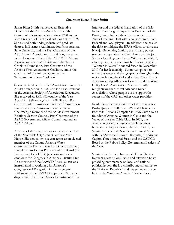#### **Chairman Susan Bitter Smith**

Susan Bitter Smith has served as Executive Director of the Arizona-New Mexico Cable Communications Association since 1980 and as Vice President of Technical Solutions since 1988. She earned both undergraduate and graduate degrees in Business Administration from Arizona State University and is a Past Chairman of the ASU Alumni Association. In addition, she serves as the Honorary Chair of the ASU MBA Alumni Association, is a Past Chairman of the Walter Cronkite Foundation, Past Chairman of the Arizona First Amendment Coalition, and is the Chairman of the Arizona Competitive Telecommunications Coalition.

Susan received her Certified Association Executive (CAE) designation in 1987 and is a Past President of the Arizona Society of Association Executives. She received AzSAE's Executive of the Year Award in 1988 and again in 1998. She is a Past Chairman of the American Society of Association Executives (first Arizonan to ever serve as Chairman), a member of the ASAE Government Relations Section Council, Past Chairman of the ASAE Government Affairs Committee, and an ASAE Fellow.

A native of Arizona, she has served as a member of the Scottsdale City Council and was Vice Mayor. She served two six year terms as an elected member of the Central Arizona Water Conservation District Board of Directors, having served the last four as President of the Board (the first woman to hold this position) and was a candidate for Congress in Arizona's District Five. As a member of the CAWCD Board, Susan was instrumental in working with Arizona's Congressional Delegation in the successful settlement of the CAWCD Repayment Settlement dispute with the United States Department of the

Interior and the federal finalization of the Gila Indian Water Rights dispute. As President of the Board, Susan has led the effort to operate the Yuma Desalting Plant with a consortium of both Federal and local players. In addition, she has led the fight to mitigate the EPA's efforts to close the Navajo Generating Station, the primary power source that operates the Central Arizona Project. She is a founding member of "Women in Water", a local group of women involved in water policy. "Women in Water" honored Susan in December 2010 for her leadership. Susan has spoken to numerous water and energy groups throughout the region including the Colorado River Water User's Association, Agri-Business Council, and the Water Utility User's Association. She is currently reorganizing the Central Arizona Project Association, whose purpose is to support the success of the CAP and other water providers.

In addition, she was Co-Chair of Arizonians for Bush/Quayle in 1988 and 1992 and Chair of the Forbes in Arizona Campaign in 1996. Susan was a founder of Arizona Women in Cable and the Valley of the Sun Cable Club. In 2001, the American Society of Association Executives bestowed its highest honor, the Key Award, on Susan. Arizona Girls Scouts has honored Susan with its "Advocacy" Award. Recently, the Arizona Capitol Times honored Susan and the CAWCD Board as the Public Policy Government Leaders of the Year.

Susan is married and has two children. She is a frequent guest of local radio and television hosts providing commentary on local and national political issues. She is a contributing columnist to the "Arizona Republic" and has served as the cohost of the "Arizona Almanac" Radio Show.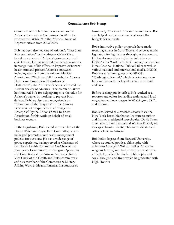#### **Commissioner Bob Stump**

Commissioner Bob Stump was elected to the Arizona Corporation Commission in 2008. He represented District 9 in the Arizona House of Representatives from 2002-2008.

Bob has been deemed one of Arizona's "Best State Representatives" by the *Arizona Capitol Times*, based on a survey of Arizona's government and civic leaders. He has received over a dozen awards in recognition of his efforts to improve Arizonans' health care and protect Arizona's taxpayers – including awards from the Arizona Medical Association ("Walk the Talk" award), the Arizona Healthcare Association ("Legislator of Distinction"), the Alzheimer's Association and the Autism Society of America. The March of Dimes has honored Bob for helping improve the odds for Arizona's babies by working to prevent birth defects. Bob has also been recognized as a "Champion of the Taxpayer" by the Arizona Federation of Taxpayers and an "Eagle for Enterprise" by the Arizona Small Business Association for his work on behalf of smallbusiness owners.

In the Legislature, Bob served as a member of the House Water and Agriculture Committee, where he helped promote sound water management policies for our state. He has a wide range of policy experience, having served as Chairman of the House Health Committee; Co-Chair of the Joint Select Committee to Investigate Operations and Conditions at the Arizona Veterans Home; Vice Chair of the Health and Rules committees; and as a member of the Commerce & Military Affairs, Ways & Means, Financial Institutions &

Insurance, Ethics and Education committees. Bob also helped craft several multi-billion-dollar budgets for our state.

Bob's innovative policy proposals have made front-page news in *USA Today* and serve as model legislation for legislatures throughout the country. He has discussed key legislative initiatives on CNN; "Your World with Neil Cavuto," on the Fox News Channel; National Public Radio; as well as various national and international media. In 2006, Bob was a featured guest on C-SPAN's "Washington Journal," which devoted nearly an hour to discuss his policy ideas with a national audience.

Before seeking public office, Bob worked as a reporter and editor for leading national and local magazines and newspapers in Washington, D.C., and Tucson.

Bob also served as a research associate via the New York-based Manhattan Institute to author and former presidential speechwriter David Frum; as an aide to Fred Barnes and William Kristol; and as a speechwriter for Republican candidates and officeholders in Arizona.

Bob holds degrees from Harvard University, where he studied political philosophy with columnist George F. Will, as well as American religious history, and the University of California at Berkeley, where he studied philosophy and social thought, and from which he graduated with High Honors.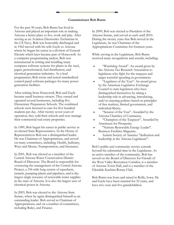#### **Commissioner Bob Burns**

For the past 50 years, Bob Burns has lived in Arizona and played an important role in making Arizona a better place to live, work and play. After serving as an Aviation Electronics Technician in the US Navy, Bob was honorably discharged and in 1962 moved with his wife Gayle to Arizona where he began his career at a division of General Electric which later became part of Honeywell. As a computer programming analyst, Bob was instrumental in writing and installing many computer software systems for plants in the steel, paper, petrochemical, fuel distribution, and electrical generation industries. As a lead programmer, Bob wrote and tested standardized control panel software packages for many power generation facilities.

After retiring from Honeywell, Bob and Gayle became small business owners. They owned and operated several businesses, including five Elementary Preparatory Schools. The combined schools were licensed to care for five hundred students per day. After twenty seven years of operation, they sold their schools and now manage their commercial real estate properties.

In 1989, Bob began his career in public service as an elected State Representative. In the House of Representatives Bob was a distinguished leader. He was Chairman of Appropriations, and served on many committees, including: Health, Judiciary, Ways and Means, Transportation, and Insurance.

In 2001, Bob was elected as a member of the Central Arizona Water Conservation District Board of Directors. The Board is responsible for overseeing the management of the Central Arizona Project, a 336-mile long system of aqueducts, tunnels, pumping plants and pipelines, and is the largest single resource of renewable water supplies in the state of Arizona. It is also the largest user of electrical power in Arizona.

In 2003, Bob was elected to the Arizona State Senate, where he again distinguished himself as an outstanding leader. Bob served as Chairman of Appropriations, and on a number of committees, including Rules, and Finance.

In 2009, Bob was elected as President of the Arizona Senate, and served as such until 2010. During the twenty years that Bob served in the Legislature, he was Chairman of the Appropriations Committee for fourteen years.

While serving in the Legislature, Bob Burns received many recognitions and awards, including:

- "Watchdog Award". An award given by the Arizona Tax Research Association to legislators who fight for the taxpayer and target wasteful spending in government.
- "Legislator of the Year". An award given by the American Legislative Exchange Council to state legislators who have distinguished themselves by taking a leadership role in advancing, introducing, and/or enacting policies based on principles of free markets, limited government, and individual liberty.
- "Senator of the Year". Awarded by the Arizona Chamber of Commerce.
- "Champion of the Taxpayer". Awarded by Americans for Prosperity.
- "Nations Renewable Energy Leader". Business Facilities Magazine.
- Autism Society of America "dedication and leadership at the Arizona Legislature".

Bob's public and community service extends beyond his substantial time in the Legislature. As an active member of the community, Bob has served on the Board of Directors for Friends of the West Valley Recreation Corridor, is a member of Arizona Town Hall, and is a member of the Glendale Kachina Rotary Club.

Bob Burns was born and raised in Rolfe, Iowa. He and Gayle have been married for 52 years, and have two sons and five grandchildren.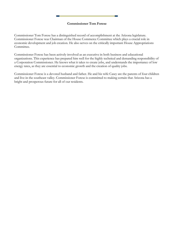## **Commissioner Tom Forese**

Commissioner Tom Forese has a distinguished record of accomplishment at the Arizona legislature. Commissioner Forese was Chairman of the House Commerce Committee which plays a crucial role in economic development and job creation. He also serves on the critically important House Appropriations Committee.

Commissioner Forese has been actively involved as an executive in both business and educational organizations. This experience has prepared him well for the highly technical and demanding responsibility of a Corporation Commissioner. He knows what it takes to create jobs, and understands the importance of low energy rates, as they are essential to economic growth and the creation of quality jobs.

Commissioner Forese is a devoted husband and father. He and his wife Casey are the parents of four children and live in the southeast valley. Commissioner Forese is committed to making certain that Arizona has a bright and prosperous future for all of our residents.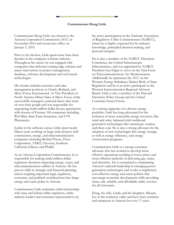#### **Commissioner Doug Little**

Commissioner Doug Little was elected to the Arizona Corporation Commission (ACC) in November 2014 and sworn into office on January 5, 2015.

Prior to his election, Little spent more than three decades in the computer software industry. Throughout his career, he was engaged with companies that delivered cutting-edge solution and major innovations in project management, database, software development and web-based technologies.

His resume includes executive and sales management positions at Oracle, Borland, and Micro Focus International. As Vice President of North America Direct Sales at Micro Focus, Little successfully managed a national direct sales team of over forty people and was responsible for negotiating multi-million dollar license agreements with dozens of Fortune 100 companies including Wal-Mart, State Farm Insurance, and CVS Pharmacies.

Earlier in his software career, Little spent nearly fifteen years working on large-scale projects with construction, energy, and telecommunication companies including Bechtel Power, Fluor Corporation, AT&T, Chevron, Southern California Edison, and PG&E.

As an Arizona Corporation Commissioner, he is responsible for making multi-million dollar regulatory decisions impacting energy, water, and telecommunications utilities in Arizona. He has proven skills in strategic and financial planning, and in weighing important legal, regulatory, economic, and political considerations that shape energy and water policy in Arizona.

Commissioner Little maintains solid relationships with state and federal utility regulators, utility industry leaders and consumer representatives by

his active participation in the National Association of Regulatory Utility Commissioners (NARUC), where he is highly respected for his industry knowledge, principled decision-making, and personal integrity.

He is also a member of the NARUC Electricity Committee, the Critical Infrastructure Subcommittee, and was appointed by NARUC President Lisa Edgar to serve on the Task Force on Telecommunications Act Modernization. Additionally he represents the ACC on the Western Energy Imbalance Market Body of State Regulators and he is an active participant in the Western Interconnection Regional Advisory Board. Little is also a member of the Harvard Electricity Policy Group and the Critical Consumer Issues Forum.

As a strong supporter of a diverse energy portfolio, Little has long advocated for the inclusion of more renewable energy resources, like wind and solar, balanced with traditional generation technologies like natural gas, nuclear, and clean coal. He is also a strong advocate for the adoption of new technologies like energy storage, as well as energy efficiency, and energy conservation programs.

Commissioner Little is a strong consumer advocate who has worked to develop more effective operations resulting in lower prices and more efficient methods of delivering gas, water, and electricity. He is committed to maintaining Arizona's national leadership in emerging power generation technologies and works to implement cost effective energy and water policies that encourage economic development while providing clean, safe, reliable, and affordable utility services for all Arizonans.

Doug, his wife, Linda, and his daughter, Micaela, live in the northeast valley and have been residents and ratepayers in Arizona for over 17 years.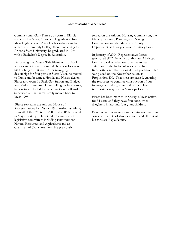#### **Commissioner Gary Pierce**

Commissioner Gary Pierce was born in Illinois and raised in Mesa, Arizona. He graduated from Mesa High School. A track scholarship took him to Mesa Community College then transferring to Arizona State University, he graduated in 1974 with a Bachelor's Degree in Education.

Pierce taught at Mesa's Taft Elementary School with a career in the automobile business following his teaching experience. After managing dealerships for four years in Sierra Vista, he moved to Yuma and became a Honda and Nissan dealer. Pierce also owned a Shell Gas Station and Budget Rent-A-Car franchise. Upon selling his businesses, he was twice elected to the Yuma County Board of Supervisors. The Pierce family moved back to Mesa 1998.

Pierce served in the Arizona House of Representatives for District 19 (North/East Mesa) from 2001 thru 2006. In 2005 and 2006 he served as Majority Whip. He served on a number of legislative committees including Environment; Natural Resources and Agriculture; and as Chairman of Transportation. He previously

served on the Arizona Housing Commission, the Maricopa County Planning and Zoning Commission and the Maricopa County Department of Transportation Advisory Board.

In January of 2004, Representative Pierce sponsored HB2456, which authorized Maricopa County to call an election for a twenty year extension of the half-cent sales tax to fund transportation. The Regional Transportation Plan was placed on the November ballot, as Proposition 400. That measure passed, ensuring the resources to continue construction of our freeways with the goal to build a complete transportation system in Maricopa County.

Pierce has been married to Sherry, a Mesa native, for 34 years and they have four sons, three daughters-in-law and four grandchildren.

Pierce served as an Assistant Scoutmaster with his son's Boy Scouts of America troop and all four of his sons are Eagle Scouts.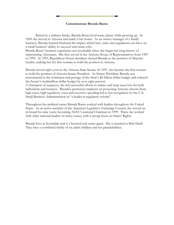#### **Commissioner Brenda Burns**

Raised in a military family, Brenda Burns lived many places while growing up. In 1969 she moved to Arizona and made it her home. As an owner/manager of a family business, Brenda learned firsthand the impact which laws, rules and regulations can have on a small business' ability to succeed and create jobs.

Brenda Burns' business experience was invaluable when she began her long history of representing Arizonans. She first served in the Arizona House of Representatives from 1987 to 1995. In 1993, Republican House members elected Brenda to the position of Majority Leader, making her the first woman to hold the position in Arizona.

Brenda served eight years in the Arizona State Senate. In 1997, she became the first woman to hold the position of Arizona Senate President. As Senate President, Brenda was instrumental in the formation and passage of the State's \$6 billion dollar budget and reduced the Senate's multimillion dollar budget by over eight percent.

A champion of taxpayers, she led successful efforts to reduce and keep taxes low for both individuals and business. Brenda's persistent emphasis on protecting Arizona citizens from high taxes, high regulatory costs and excessive spending led to her recognition by the U.S. Small Business Administration as "a leader in regulatory reform".

Throughout her political career Brenda Burns worked with leaders throughout the United States. As an active member of the American Legislative Exchange Council, she served on its board for nine years, becoming ALEC's national Chairman in 1999. There she worked with other national leaders on many issues, with a strong focus on States' Rights.

Brenda lives in Scottsdale and is a licensed real estate agent. She is married to Bob Isbell. They have a combined family of six adult children and ten grandchildren.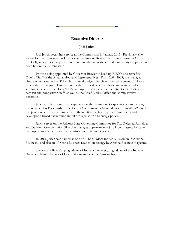

# **Executive Director**

# **Jodi Jerich**

Jodi Jerich began her service at the Commission in January 2013. Previously, she served for over four years as Director of the Arizona Residential Utility Consumer Office (RUCO), an agency charged with representing the interests of residential utility ratepayers in cases before the Commission.

Prior to being appointed by Governor Brewer to head up RUCO, she served as Chief of Staff of the Arizona House of Representatives. From 2004-2008, she managed House operations and its \$12 million annual budget. Jerich authorized payment of House expenditures and payroll and worked with the Speaker of the House to create a budget surplus, supervised the House's 175 employees and independent contractors including partisan and nonpartisan staff, as well as the Chief Clerk's Office and administrative personnel.

Jerich also has prior direct experience with the Arizona Corporation Commission, having served as Policy Advisor to former Commissioner Mike Gleason from 2002-2004. In this position, she became familiar with the utilities regulated by the Commission and developed a broad background in utilities regulation and energy policy.

Jerich serves on the Arizona State Governing Committee for Tax Deferred Annuities and Deferred Compensation Plan that manages approximately \$1 billion of assets for state employees' supplemental defined contribution retirement plans.

In 2013, Jerich was named as one of "The 50 Most Influential Women in Arizona Business," and also an "Arizona Business Leader" in Energy by Arizona Business Magazine.

She is a Phi Beta Kappa graduate of Indiana University, a graduate of the Indiana University Maurer School of Law, and a member of the Arizona bar.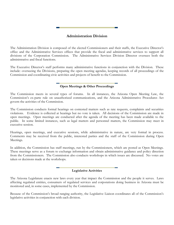# **Administration Division**

The Administration Division is composed of the elected Commissioners and their staffs, the Executive Director's office and the Administrative Services offices that provide the fiscal and administrative services to support all divisions of the Corporation Commission. The Administrative Services Division Director oversees both the administrative and fiscal functions.

The Executive Director's staff performs many administrative functions in conjunction with the Division. These include: overseeing the Divisions, preparing the open meeting agendas, keeping records of all proceedings of the Commission and coordinating civic activities and projects of benefit to the Commission.

## **Open Meetings & Other Proceedings**

The Commission meets in several types of forums. In all instances, the Arizona Open Meeting Law, the Commission's ex-parte rule on unauthorized communications, and the Arizona Administrative Procedures Act govern the activities of the Commission.

The Commission conducts formal hearings on contested matters such as rate requests, complaints and securities violations. Evidence is collected at hearings but no vote is taken. All decisions of the Commission are made in open meetings. Open meetings are conducted after the agenda of the meeting has been made available to the public. In some limited instances, such as legal matters and personnel matters, the Commission may meet in executive session.

Hearings, open meetings, and executive sessions, while administrative in nature, are very formal in process. Comments may be received from the public, interested parties and the staff of the Commission during Open Meetings.

In addition, the Commission has staff meetings, run by the Commissioners, which are posted as Open Meetings. These meetings serve as a forum to exchange information and obtain administrative guidance and policy direction from the Commissioners. The Commission also conducts workshops in which issues are discussed. No votes are taken or decisions made at the workshops.

## **Legislative Activities**

The Arizona Legislature enacts new laws every year that impact the Commission and the people it serves. Laws affecting regulated entities, consumers of regulated services and corporations doing business in Arizona must be monitored and, in some cases, implemented by the Commission.

Because of the Commission's broad ranging authority, the Legislative Liaison coordinates all of the Commission's legislative activities in conjunction with each division.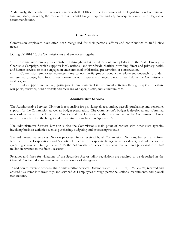Additionally, the Legislative Liaison interacts with the Office of the Governor and the Legislature on Commission funding issues, including the review of our biennial budget requests and any subsequent executive or legislative recommendations.

## **Civic Activities**

Commission employees have often been recognized for their personal efforts and contributions to fulfill civic needs.

During FY 2014-15, the Commissioners and employees together:

• Commission employees contributed through individual donations and pledges to the State Employees Charitable Campaign, which supports local, national, and worldwide charities providing direct and primary health and human services or those engaged in environmental or historical preservation or conservation.

• Commission employees volunteer time to non-profit groups, conduct employment outreach to underrepresented groups, host food drives, donate blood in specially arranged blood drives held at the Commission's facilities; and

• Fully support and actively participate in environmental improvement activities through Capitol Rideshare (car pools, telework, public transit) and recycling of paper, plastic, and aluminum cans.

#### **Administrative Services**

The Administrative Services Division is responsible for providing all accounting, payroll, purchasing and personnel support for the Commission as well as budget preparation. The Commission's budget is developed and submitted in coordination with the Executive Director and the Directors of the divisions within the Commission. Fiscal information related to the budget and expenditures is included in Appendix A.

The Administrative Services Division is also the Commission's main point of contact with other state agencies involving business activities such as purchasing, budgeting and processing revenue.

The Administrative Services Division processes funds received by all Commission Divisions, but primarily from fees paid to the Corporations and Securities Divisions for corporate filings, securities dealer, and salesperson or agent registrations. During FY 2014-15 the Administrative Services Division received and processed over \$60 million in revenue to the State Treasurer.

Penalties and fines for violations of the Securities Act or utility regulations are required to be deposited in the General Fund and do not remain within the control of the agency.

In addition to revenue deposits, the Administrative Services Division issued 1,057 RFP's; 1,750 claims; received and entered 473 items into inventory; and serviced 264 employees through personnel actions, recruitments, and payroll transactions.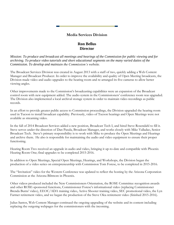# **Media Services Division**

# **Ron Bellus Director**

*Mission: To produce and broadcast all meetings and hearings of the Commission for public viewing and for archiving. To produce video tutorials and short educational segments on the many varied duties of the Commission. To develop and maintain the Commission's website.*

The Broadcast Services Division was created in August 2013 with a staff of two, quickly adding a Web Content Manager and Broadcast Producer. In order to improve the availability and quality of Open Meeting broadcasts, the Division made video and audio upgrades to the hearing room and re-arranged its five cameras to allow better viewing angles.

Other improvements made to the Commission's broadcasting capabilities were an expansion of the Broadcast control room with new equipment added. The audio system in the Commissioners' conference room was upgraded. The Division also implemented a local archival storage system in order to maintain video recordings as public records.

In an effort to provide greater public access to Commission proceedings, the Division upgraded the hearing room used in Tucson to install broadcast capability. Previously, video of Tucson hearings and Open Meetings were not available as streaming video.

In the fall of 2014 Broadcast Services added a new position, Broadcast Tech I, and hired Steve Rosendahl to fill it. Steve serves under the direction of Dan Pasula, Broadcast Manager, and works closely with Mike Valladao, Senior Broadcast Tech. Steve's primary responsibility is to work with Mike to produce the Open Meetings and Hearings and archive them. He also is responsible for maintaining the audio and video equipment to ensure their proper functioning.

Hearing Room Two received an upgrade in audio and video, bringing it up-to-date and compatible with Phoenix Hearing Room One; final upgrades to be completed 2015-2016.

In addition to Open Meetings, Special Open Meetings, Hearings, and Workshops, the Division began the production of a video series on entrepreneurship with Commission Tom Forese, to be completed in 2015-2016.

The "Invitation" video for the Western Conference was updated to reflect the hosting by the Arizona Corporation Commission at the Arizona Biltmore in Phoenix.

Other videos produced included the New Commissioners Orientation, the ROSE Committee recognition awards and other ROSE-sponsored functions, Commissioner Forese's informational video (replacing Commissioner Brenda Burns' video), EEOC/ADA training video, Active Shooter training video, SEC promotional video, the Lyn Farmer retirement video, and we began the production of the Steve Olea retirement video (finished 2015-2016).

Julius Santos, Web Content Manager continued the ongoing upgrading of the website and its content including replacing the outgoing webpages for the commissioners with the incoming.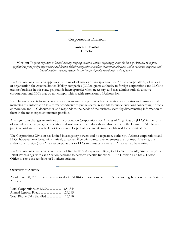# **Corporations Division**

# **Patricia L. Barfield Director**

**Mission:** *To grant corporate or limited liability company status to entities organizing under the laws of Arizona; to approve applications from foreign corporations and limited liability companies to conduct business in this state; and to maintain corporate and limited liability company records for the benefit of public record and service of process.*

The Corporations Division approves the filing of all articles of incorporation for Arizona corporations, all articles of organization for Arizona limited liability companies (LLCs), grants authority to foreign corporations and LLCs to transact business in this state, propounds interrogatories when necessary, and may administratively dissolve corporations and LLCs that do not comply with specific provisions of Arizona law.

The Division collects from every corporation an annual report, which reflects its current status and business, and maintains this information in a format conducive to public access, responds to public questions concerning Arizona corporation and LLC documents, and responds to the needs of the business sector by disseminating information to them in the most expedient manner possible.

Any significant changes to Articles of Incorporation (corporations) or Articles of Organization (LLCs) in the form of amendments, mergers, consolidations, dissolutions or withdrawals are also filed with the Division. All filings are public record and are available for inspection. Copies of documents may be obtained for a nominal fee.

The Corporations Division has limited investigatory powers and no regulatory authority. Arizona corporations and LLCs, however, may be administratively dissolved if certain statutory requirements are not met. Likewise, the authority of foreign (non-Arizona) corporations or LLCs to transact business in Arizona may be revoked.

The Corporations Division is comprised of five sections (Corporate Filings, Call Center, Records, Annual Reports, Initial Processing), with each Section designed to perform specific functions. The Division also has a Tucson Office to serve the residents of Southern Arizona.

# **Overview of Activity**

As of June 30, 2015, there were a total of 851,844 corporations and LLCs transacting business in the State of Arizona.

| Total Phone Calls Handled113,190 |  |
|----------------------------------|--|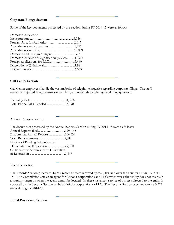## **Corporate Filings Section**

Some of the key documents processed by the Section during FY 2014-15 were as follows:

| Domestic Articles of                           |  |
|------------------------------------------------|--|
|                                                |  |
|                                                |  |
|                                                |  |
|                                                |  |
|                                                |  |
| Domestic Articles of Organization (LLCs)47,372 |  |
| Foreign applications for LLCs3,449             |  |
|                                                |  |
|                                                |  |
|                                                |  |

## **Call Center Section**

Call Center employees handle the vast majority of telephone inquiries regarding corporate filings. The staff researches rejected filings, assists online filers, and responds to other general filing questions.

| Total Phone Calls Handled113,190 |  |
|----------------------------------|--|

## **Annual Reports Section**

| The documents processed by the Annual Reports Section during FY 2014-15 were as follows: |
|------------------------------------------------------------------------------------------|
|                                                                                          |
| E-submitted Annual Reports106,654                                                        |
| Total Reinstatements5,888                                                                |
|                                                                                          |
|                                                                                          |
| Certificates of Administrative Dissolution                                               |
|                                                                                          |
|                                                                                          |

## **Records Section**

The Records Section processed 42,744 records orders received by mail, fax, and over the counter during FY 2014- 15. The Commission acts as an agent for Arizona corporations and LLCs whenever either entity does not maintain a statutory agent or when the agent cannot be located. In these instances, service of process directed to the entity is accepted by the Records Section on behalf of the corporation or LLC. The Records Section accepted service 3,327 times during FY 2014-15.

**Initial Processing Section**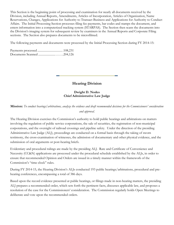This Section is the beginning point of processing and examination for nearly all documents received by the Division, including Annual Reports, Amendments, Articles of Incorporation, Articles of Organization, Name Reservations, Changes, Applications for Authority to Transact Business and Applications for Authority to Conduct Affairs. The Initial Processing Section processes filing fee payments, bar codes and stamps the document, and enters information into a computerized tracking system (STARPAS). The Section then scans the documents into the Division's imaging system for subsequent review by examiners in the Annual Reports and Corporate Filing sections. The Section also prepares documents to be microfilmed.

The following payments and documents were processed by the Initial Processing Section during FY 2014-15:

Payments processed ................................. .108,231 Documents Scanned .......................…….204,126

**Hearing Division**

**Dwight D. Nodes Chief Administrative Law Judge**

**Mission:** *To conduct hearings/arbitrations, analyze the evidence and draft recommended decisions for the Commissioners' consideration and approval.*

The Hearing Division exercises the Commission's authority to hold public hearings and arbitrations on matters involving the regulation of public service corporations, the sale of securities, the registration of non-municipal corporations, and the oversight of railroad crossings and pipeline safety. Under the direction of the presiding Administrative Law Judge (ALJ), proceedings are conducted on a formal basis through the taking of sworn testimony, the cross-examination of witnesses, the admission of documentary and other physical evidence, and the submission of oral arguments or post-hearing briefs.

Evidentiary and procedural rulings are made by the presiding ALJ. Rate and Certificate of Convenience and Necessity (CC&N) applications are processed under the procedural schedule established by the ALJs, in order to ensure that recommended Opinion and Orders are issued in a timely manner within the framework of the Commission's "time clock" rules.

During FY 2014-15, the Hearing Division's ALJs conducted 193 public hearings/arbitrations, procedural and prehearing conferences, encompassing a total of 386 days.

Based upon the record evidence presented at public hearings, or filings made in non-hearing matters, the presiding ALJ prepares a recommended order, which sets forth the pertinent facts, discusses applicable law, and proposes a resolution of the case for the Commissioners' consideration. The Commission regularly holds Open Meetings to deliberate and vote upon the recommended orders.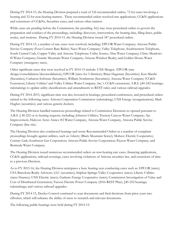During FY 2014-15, the Hearing Division prepared a total of 124 recommended orders, 72 for cases involving a hearing and 52 for non-hearing matters. These recommended orders resolved rate applications, CC&N applications and extensions of CC&Ns, Securities cases, and various other matters.

While cases are pending before the Commission, the presiding ALJ may issue procedural orders to govern the preparation and conduct of the proceedings, including: discovery, intervention, the hearing date, filing dates, public notice, and motions. During FY 2014-15, the Hearing Division issued 347 procedural orders.

During FY 2014-15, a number of rate cases were resolved, including: EPCOR Water Company; Arizona Public Service Company (Four Corners Rate Rider); Naco Water Company; Valley Telephone, Southwestern Telephone, South Central Utah, Copper Valley and Arizona Telephone; Utility Source; Abra Water Company; Chino Meadows II Water Company; Granite Mountain Water Company; Arizona Windsor Realty; and Golden Shores Water Company (emergency rates).

Other significant cases that were resolved in FY 2014-15 include: UNS Merger; EPCOR (rate design/consolidation/deconsolidation); EPCOR (rates for 5 districts); Brian Hageman (Securities); Ken Maerki (Securities); Catharon Software (Securities); William Nordstrom (Securities); Arizona Water Company (CC&N Extension); Liberty Utilities' and Valley Utilities Water Company, Inc.'s CC&N extensions; A.R.S. §40-242 hearings; rulemakings to update utility classifications and amendments to REST rules; and various railroad upgrades.

During FY 2014-2015, significant time was also invested in hearings, procedural conferences, and procedural orders related to the following cases: Arizona Corporation Commission (rulemaking); UNS Energy (reorganization); Mark Hughes (securities); and various generic dockets.

The Hearing Division handled numerous proceedings related to Commission Decisions re-opened pursuant to A.R.S. § 40-252 or re-hearing requests, including: Johnson Utilities; Truxton Canyon Water Company; Ajo Improvement, Halcyon Acres Annex #2 Water Company, Arizona Water Company, Arizona Public Service Company (line site).

The Hearing Division also conducted hearings and wrote Recommended Orders in a number of complaint proceedings brought against utilities, such as: Liberty (Black Mountain Sewer); Mohave Electric Cooperative; Century Link; Southwest Gas Corporation; Arizona Public Service Corporation; Payson Water Company; and Bermuda Water Company.

The Hearing Division issued numerous recommended orders on non-hearing rate cases, financing applications, CC&N applications, railroad crossings, cases involving violations of Arizona securities law, and extensions of time to a previous Decision.

As to FY 2015-16, the Hearing Division anticipates a busy hearing year conducting cases such as: EPCOR (rates); USA Barcelona Realty Advisors, LLC (securities); Sulphur Springs Valley Cooperative (rates); Liberty Utilities (rates/finance); UNS Electric (rates); Garkane Energy Cooperative (rates); Commission Investigation of Value and Cost of Distributed Generation; Tucson Electric Power Company (2016 REST Plan); §40-252 hearings; rulemakings; and various railroad upgrades.

During FY 2014-15, Docket Control continued to scan documents and final decisions from prior years into eDocket, which will enhance the ability of users to research and relevant documents.

The following public hearings were held during FY 2014-15: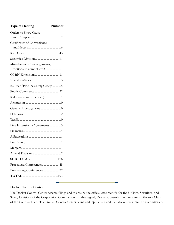| <b>Type of Hearing</b>          | Number |
|---------------------------------|--------|
| Orders to Show Cause            |        |
|                                 |        |
| Certificates of Convenience     |        |
|                                 |        |
|                                 |        |
| Miscellaneous (oral arguments,  |        |
|                                 |        |
|                                 |        |
|                                 |        |
| Railroad/Pipeline Safety Group5 |        |
|                                 |        |
| Rules (new and amended) 1       |        |
|                                 |        |
|                                 |        |
|                                 |        |
|                                 |        |
| Line Extensions/Agreements5     |        |
|                                 |        |
|                                 |        |
|                                 |        |
|                                 |        |
|                                 |        |
|                                 |        |
| Procedural Conferences 45       |        |
| Pre-hearing Conferences 22      |        |
|                                 |        |
|                                 |        |

# **Docket Control Center**

The Docket Control Center accepts filings and maintains the official case records for the Utilities, Securities, and Safety Divisions of the Corporation Commission. In this regard, Docket Control's functions are similar to a Clerk of the Court's office. The Docket Control Center scans and inputs data and filed documents into the Commission's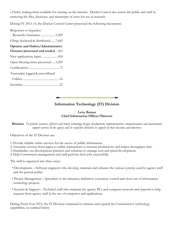*e-Docket*, making them available for viewing on the internet. Docket Control also assists the public and staff in retrieving the files, decisions, and transcripts of cases for use in research.

During FY 2013-14, the Docket Control Center processed the following documents:

Responses to Inquiries/ Research/Assistance....................1,500 Filings docketed & distributed.......7,445 **Opinion and Orders/Administrative Closures processed and mailed** ...563 New applications input......................424 Open Meeting items processed .....1,050 Certifications.........................................73 Transcripts logged & microfilmed Utilities.................................................16 Securities................................................25

# **Information Technology (IT) Division**

## **Letty Butner Chief Information Officer/Director**

**Mission:** *To provide accurate, efficient and timely technology design, development, implementation, communications and maintenance support services to the agency and its respective divisions in support of their missions and objectives.*

Objectives of the IT Division are:

1. Provide reliable online services for the access of public information.

2.Automate services from paper to online transactions to increase productivity and reduce throughput time.

3. Standardize our development practices and solutions to manage cost and speed development.

4.Help Commission management and staff perform their jobs successfully.

The staff is organized into three areas:

- Development Software engineers who develop, maintain and enhance the various systems used by agency staff and the general public.
- Project Management Specialists in the initiation, definition, execution, control and close-out of information technology projects.
- Systems & Support Technical staff who maintain the agency PCs and computer network and respond to help requests from agency staff in the use of computers and applications.

During Fiscal Year 2015, the IT Division continued to enhance and expand the Commission's technology capabilities, as outlined below: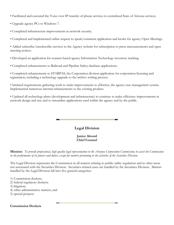- Facilitated and executed the Voice over IP transfer of phone services to centralized State of Arizona services.
- Upgrade agency PCs to Windows 7.
- Completed infrastructure improvements in network security.
- Completed and implemented online request to speak/comment application and kiosks for agency Open Meetings.

• Added subscribe/unsubscribe services to the Agency website for subscription to press announcements and open meeting notices.

- Developed an application for scanner-based agency Information Technology inventory tracking.
- Completed enhancements to Railroad and Pipeline Safety database applications.

• Completed enhancements to STARPAS, the Corporation division application for corporation licensing and registration, including a technology upgrade to the archive writing process.

• Initiated requirements gathering work to make improvements to eDocket, the agency case management system. Implemented numerous internal enhancements to the existing product.

• Updated all technology plans (development and infrastructure) to continue to make efficiency improvements in network design and size and to streamline applications used within the agency and by the public.

# **Legal Division**

**Janice Alward Chief Counsel**

**Mission:** *To provide professional, high quality legal representation to the Arizona Corporation Commission; to assist the Commission in the performance of its powers and duties, except for matters pertaining to the activities of the Securities Division.*

The Legal Division represents the Commission in all matters relating to public utility regulation and in other areas not associated with the Securities Division. Securities-related cases are handled by the Securities Division. Matters handled by the Legal Division fall into five general categories:

1) Commission dockets;

- 2) federal regulatory dockets;
- 3) litigation;
- 4) other administrative matters; and
- 5) special projects.

## **Commission Dockets**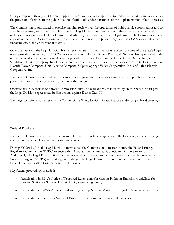Utility companies throughout the state apply to the Commission for approval to undertake certain activities, such as the provision of service to the public, the modification of service territories, or the implementation of rate increases.

The Commission is authorized to exercise ongoing review over the operations of public service corporations and to act when necessary to further the public interest. Legal Division representation in these matters is varied and includes representing the Utilities Division and advising the Commissioners on legal issues. The Division routinely appears on behalf of Commission Staff in a variety of administrative proceedings, such as CC&N cases, rate cases, financing cases, and enforcement matters.

Over the past year, the Legal Division has represented Staff in a number of rate cases for some of the State's largest water providers, including EPCOR Water Company and Liberty Utilities. The Legal Division also represented Staff in matters related to the State's smaller water providers, such as Utility Source, Cedar Grove Water, Inc., and Southland Utilities Company. In addition, a number of energy companies filed rate cases in 2015, including Tucson Electric Power Company, UNS Electric Company, Sulphur Springs Valley Cooperative, Inc., and Trico Electric Cooperative, Inc.

The Legal Division represented Staff in various rate adjustment proceedings associated with purchased fuel or power mechanisms, energy efficiency, or renewable energy.

Occasionally, proceedings to enforce Commission rules and regulations are initiated by Staff. Over the past year, the Legal Division represented Staff in actions against Desert Gas, LP.

The Legal Division also represents the Commission's Safety Division in applications addressing railroad crossings.

**Federal Dockets**

The Legal Division represents the Commission before various federal agencies in the following areas: electric, gas, energy, railroads, pipelines, and telecommunications.

During FY 2014-2015, the Legal Division represented the Commission in matters before the Federal Energy Regulatory Commission (FERC) to ensure that Arizona's public interest is considered in these matters. Additionally, the Legal Division filed comments on behalf of the Commission in several of the Environmental Protection Agency's (EPA) rulemaking proceedings. The Legal Division also represented the Commission in Federal Communication Commission (FCC) dockets.

Key federal proceedings included:

- Participation in EPA's Notice of Proposed Rulemaking for Carbon Pollution Emission Guidelines for Existing Stationary Sources: Electric Utility Generating Units;
- Participation in EPA's Proposed Rulemaking Setting National Ambient Air Quality Standards for Ozone;
- Participation in the FCC's Notice of Proposed Rulemaking on Inmate Calling Services.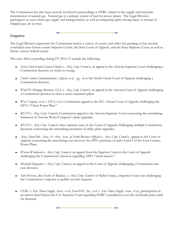The Commission has also been actively involved in proceedings at FERC related to the supply and interstate transmission of natural gas. Natural gas is a primary source of fuel for power plants. The Legal Division participates in cases where gas supply and transportation, as well as competing rights among states to receipt of shipped gas, are at issue.

# **Litigation**

The Legal Division represents the Commission before a variety of courts, and either has pending or has recently concluded cases before county Superior Courts, the State Court of Appeals, and the State Supreme Court, as well as before various federal courts.

The cases filed or pending during FY 2014-15 include the following:

- *Sierra Club-Grand Canyon Chapter v. Ariz. Corp. Comm'n,* an appeal to the Arizona Supreme Court challenging a Commission decision on waste-to-energy.
- North County Communications v. Qwest, et al. 21 al to the Ninth Circuit Court of Appeals challenging a Commission decision.
- *Wind P1 Mortgage Borrower, LLC v. Ariz. Corp. Comm'n,* an appeal in the Arizona Court of Appeals challenging a Commission decision to close a sewer treatment plant*.*
- *West Virginia, et al. v. EPA, et al.*, Commission appeal to the D.C. Circuit Court of Appeals challenging the EPA's "Clean Power Plan."
- *RUCO v. Ariz. Corp. Comm'n,* Commission appeal to the Arizona Supreme Court concerning the ratemaking treatment of Arizona Water Company's plant upgrades.
- *RUCO v. Ariz. Corp. Comm'n*, three separate cases in the Court of Appeals challenging multiple Commission decisions concerning the ratemaking treatment of utility plant upgrades.
- *Ariz. School Bds. Assoc. & Ariz. Assoc. of School Business Officials v. Ariz. Corp. Comm'n*., appeal to the Court of Appeals concerning the ratemaking cost recovery for APS's purchase of units 4 and 5 of the Four Corners Power Plant.
- *Warren Woodward v. Ariz. Corp. Comm'n*, an appeal from the Superior Court to the Court of Appeals challenging the Commission's decision regarding APS's "smart meters."
- *Marshall Magruder v. Ariz. Corp. Comm'n*, an appeal to the Court of Appeals challenging a Commission rate case decision.
- *Scott Peterson, dba Checks & Balances, v. Ariz. Corp. Comm'n & Robert Stump*, a Superior Court case challenging the Commission's response to public records requests.
- *FERC v. Elec. Power Supply Assoc., et al.; EnerNOC, Inc., et al. v. Elec. Power Supply Assoc., et al.*, participation in an amicus brief before the U.S. Supreme Court regarding FERC's jurisdiction over the wholesale prices paid for demand.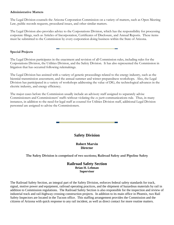## **Administrative Matters**

The Legal Division counsels the Arizona Corporation Commission on a variety of matters, such as Open Meeting Law, public records requests, procedural issues, and other similar matters.

The Legal Division also provides advice to the Corporations Division, which has the responsibility for processing corporate filings, such as Articles of Incorporation, Certificates of Disclosure, and Annual Reports. These items must be submitted to the Commission by every corporation doing business within the State of Arizona.

## **Special Projects**

The Legal Division participates in the enactment and revision of all Commission rules, including rules for the Corporations Division, the Utilities Division, and the Safety Division. It has also represented the Commission in litigation that has occurred following rulemakings.

The Legal Division has assisted with a variety of generic proceedings related to the energy industry, such as the biennial transmission assessment, and the annual summer and winter preparedness workshops. Also, the Legal Division has participated in a variety of workshops addressing the value of DG, the technological advances in the electric industry, and energy efficiency.

The major cases before the Commission usually include an advisory staff assigned to separately advise Commissioners and Commissioners' staffs without violating the *ex parte* communications rule. Thus, in many instances, in addition to the need for legal staff as counsel for Utilities Division staff, additional Legal Division personnel are assigned to advise the Commissioners.

# **Safety Division**

**Robert Marvin Director**

# **The Safety Division is comprised of two sections; Railroad Safety and Pipeline Safety**

## **Railroad Safety Section Brian H. Lehman Supervisor**

The Railroad Safety Section, an integral part of the Safety Division, enforces federal safety standards for track, signal, motive power and equipment, railroad operating practices, and the shipment of hazardous materials by rail in addition to Commission regulations. The Railroad Safety Section is also responsible for the inspection and review of industrial track and rail-highway crossing construction projects. In addition to its main office in Phoenix, two Rail Safety Inspectors are located in the Tucson office. This staffing arrangement provides the Commission and the citizens of Arizona with quick response to any rail incident, as well as direct contact for more routine matters.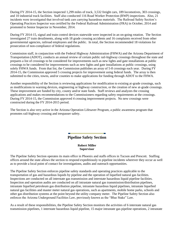During FY 2014-15, the Section inspected 1,299 miles of track, 3,532 freight cars, 189 locomotives, 303 crossings, and 10 industrial track facilities. Staff also conducted 116 Road Worker Protection (RWP) inspections. Also, 21 incidents were investigated that involved tank cars carrying hazardous materials. The Railroad Safety Section's Operating Practices Inspector was certified by the Federal Railroad Administration (FRA) in October, 2014 and promoted to Senior Inspector in November, 2014.

During FY 2014-15, signal and train control devices statewide were inspected in an on-going rotation. The Section investigated 27 train derailments, along with 18 grade crossing accidents and 16 complaints received from other governmental agencies, railroad employees and the public. In total, the Section recommended 18 violations for prosecution of non-compliance of federal regulations.

Commission staff, in conjunction with the Federal Highway Administration (FHWA) and the Arizona Department of Transportation (ADOT), conducts an annual review of certain public rail-highway crossings throughout the state and prepares a list of crossings to be considered for improvements such as new lights and gate installations at public crossings to be considered for improvements such as new lights and gate installations at public crossings, using solely FHWA funds. From that list, the Commission publishes an array of 5-8 crossings each year. During FY 2014-15, the Commission approved 5 crossing projects for improvement using federal funds. The array is then submitted to the cities, towns, and/or counties to make applications for funding through ADOT to the FHWA.

Another responsibility of the Section is reviewing applications for modification to existing at-grade crossings, such as modifications to warning devices, engineering or highway construction, or the creation of new at-grade crossings. These improvement are funded by city, county and/or state funds. Staff reviews and analyzes the crossing applications and makes recommendations to the Commissioners regarding safety requirements at the crossings. During FY 2014-15, the Commission approved 4 crossing improvement projects. No new crossings were constructed during the FY 2014-2015 period.

The Section is also very active in the Arizona Operation Lifesaver Program, a public awareness program that promotes rail-highway crossing and trespasser safety.

# **Pipeline Safety Section**

**Robert Miller Supervisor**

The Pipeline Safety Section operates its main office in Phoenix and staffs offices in Tucson and Prescott. Staffing offices around the state allows the section to respond expeditiously to pipeline incidents wherever they occur as well as to provide a local point of contact for investigations, audits and outreach opportunities.

The Pipeline Safety Section enforces pipeline safety standards and operating practices applicable to the transportation of gas and hazardous liquids by pipeline and the operation of liquefied natural gas facilities. Inspections are conducted on all interstate gas transmission and interstate hazardous liquid pipeline facilities. Inspection and operation audits are conducted on all intrastate natural gas transmission/distribution pipelines, intrastate liquefied petroleum gas distribution pipeline, intrastate hazardous liquid pipelines, intrastate liquefied natural gas facilities and master meter natural gas operations, such as apartments, mobile home parks, schools and other gas distribution systems at the point beyond the utility company meter. The Pipeline Safety Section also enforces the Arizona Underground Facilities Law, previously known as the "Blue Stake" Law.

As a result of these responsibilities, the Pipeline Safety Section monitors the activities of 6 interstate natural gas transmission pipelines, 1 interstate hazardous liquid pipeline, 15 major intrastate gas pipeline operations, 2 intrastate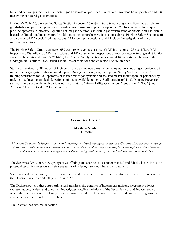liquefied natural gas facilities, 8 intrastate gas transmission pipelines, 3 intrastate hazardous liquid pipelines and 934 master meter natural gas operations.

During FY 2014-15, the Pipeline Safety Section inspected 15 major intrastate natural gas and liquefied petroleum gas distribution pipeline operators, 6 intrastate gas transmission pipeline operators, 2 intrastate hazardous liquid pipeline operators, 2 intrastate liquefied natural gas operator, 4 interstate gas transmission operators, and 1 interstate hazardous liquid pipeline operator. In addition to the comprehensive inspections above, Pipeline Safety Section staff also conducted 127 specialized inspections, 27 follow-up inspections, and 4 incident investigations of major intrastate operators.

The Pipeline Safety Group conducted 680 comprehensive master meter (MM) inspections, 126 specialized MM inspections, 459 follow-up MM inspections and 146 construction inspections of master meter natural gas distribution systems. In addition during FY 2014-15, the Pipeline Safety Section investigated 163 reported violations of the Underground Facilities Law, issued 144 notices of violations and collected \$72,250 in fines.

Staff also received 1,498 notices of incidents from pipeline operators. Pipeline operators shut off gas service to 88 master meter gas systems that required repair. During the fiscal year, the Pipeline Safety Section provided 15 training workshops for 237 operators of master meter gas systems and assisted master meter operator personnel by making pipe locating and leak detection equipment available to them. Staff participated in 33 Damage Prevention seminars held state-wide, with various utility operators, Arizona Utility Contractors Association (AZUCA) and Arizona 811 with a total of 2,151 attendees.



# **Securities Division**

**Matthew Neubert Director**

**Mission:** *To ensure the integrity of the securities marketplace through investigative actions as well as the registration and/or oversight of securities, securities dealers and salesmen, and investment advisers and their representatives; to enhance legitimate capital formation; and to minimize the expense of regulatory compliance on legitimate business, consistent with vigorous investor protection.*

The Securities Division reviews prospective offerings of securities to ascertain that full and fair disclosure is made to potential securities investors and that the terms of offerings are not inherently fraudulent.

Securities dealers, salesmen, investment advisers, and investment adviser representatives are required to register with the Division prior to conducting business in Arizona.

The Division reviews these applications and monitors the conduct of investment advisers, investment adviser representatives, dealers, and salesmen; investigates possible violations of the Securities Act and Investment Act; where the evidence warrants, brings administrative or civil or refers criminal actions; and conducts programs to educate investors to protect themselves.

The Division has two major sections: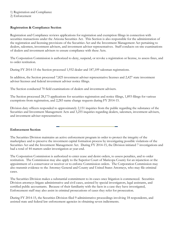## 1) Registration and Compliance

2) Enforcement

## **Registration & Compliance Section**

Registration and Compliance reviews applications for registration and exemption filings in connection with securities transactions under the Arizona Securities Act. This Section is also responsible for the administration of the registration and licensing provisions of the Securities Act and the Investment Management Act pertaining to dealers, salesmen, investment advisers, and investment adviser representatives. Staff conducts on-site examinations of dealers and investment advisers to ensure compliance with these Acts.

The Corporation Commission is authorized to deny, suspend, or revoke a registration or license, to assess fines, and to order restitution.

During FY 2014-15 the Section processed 1,932 dealer and 187,109 salesman registrations.

In addition, the Section processed 7,825 investment adviser representative licenses and 2,427 state investment adviser licenses and federal investment adviser notice filings.

The Section conducted 70 field examinations of dealers and investment advisers.

The Section processed 28,173 applications for securities registration and notice filings, 1,893 filings for various exemptions from registration, and 2,283 name change requests during FY 2014-15.

Division duty officers responded to approximately 2,151 inquiries from the public regarding the substance of the Securities and Investment Management Acts and 3,255 inquiries regarding dealers, salesmen, investment advisers, and investment adviser representatives.

## **Enforcement Section**

The Securities Division maintains an active enforcement program in order to protect the integrity of the marketplace and to preserve the investment capital formation process by investigating possible violations of the Securities Act and the Investment Management Act. During FY 2014-15, the Division initiated 7 investigations and had a total of 44 matters under investigation at year-end.

The Corporation Commission is authorized to enter cease and desist orders, to assess penalties, and to order restitution. The Commission may also apply to the Superior Court of Maricopa County for an injunction or the appointment of a conservator or receiver or to enforce Commission orders. The Corporation Commission may also transmit evidence to the Attorney General and County and United States Attorneys, who may file criminal cases.

The Securities Division makes a substantial commitment to its cases once litigation is commenced. Securities Division attorneys litigate administrative and civil cases, assisted by special investigators, legal assistants, and certified public accountants. Because of their familiarity with the facts in a case they have investigated, Enforcement staff may also assist in criminal prosecutions of cases they refer for prosecution.

During FY 2014-15, the Securities Division filed 9 administrative proceedings involving 18 respondents, and assisted state and federal law enforcement agencies in obtaining seven indictments.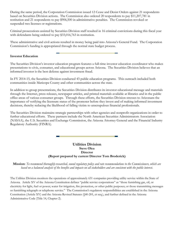During the same period, the Corporation Commission issued 12 Cease and Desist Orders against 21 respondents based on Securities Division actions. The Commission also ordered 20 respondents to pay \$11,207,781 in restitution and 21 respondents to pay \$906,500 in administrative penalties. The Commission revoked or suspended two licenses or registrations.

Criminal prosecutions assisted by Securities Division staff resulted in 16 criminal convictions during this fiscal year with defendants being ordered to pay \$33,016,763 in restitution.

These administrative and civil actions resulted in money being paid into Arizona's General Fund. The Corporation Commission's funding is appropriated through the normal state budget process.

## **Investor Education**

The Securities Division's investor education program features a full-time investor education coordinator who makes presentations to civic, consumer, and educational groups across Arizona. The Securities Division believes that an informed investor is the best defense against investment fraud.

In FY 2014-15, the Securities Division conducted 43 public education programs. This outreach included both communities inside Maricopa County and other communities across the state.

In addition to group presentations, the Securities Division distributes its investor educational message and materials through the Internet, press releases, newspaper articles, and printed materials available at libraries and in the public office areas of various consumer groups. Through these efforts, the Securities Division stresses to Arizonans the importance of verifying the licensure status of the promoter before they invest and of making informed investment decisions, thereby reducing the likelihood of falling victim to unscrupulous financial professionals.

The Securities Division maintains strategic partnerships with other agencies and nonprofit organizations in order to further educational efforts. These partners include the North American Securities Administrators Association (NASAA), the U.S. Securities and Exchange Commission, the Arizona Attorney General and the Financial Industry Regulatory Authority (FINRA).

## **Utilities Division Steve Olea Director (Report prepared by current Director Tom Broderick)**

**Mission:** *To recommend thoroughly-researched, sound regulatory policy and rate recommendations to the Commissioners, which are based on a balanced analysis of the benefits and impacts on all stakeholders and are consistent with the public interest.*

The Utilities Division monitors the operations of approximately 631 companies providing utility service within the State of Arizona. Article XV of the Arizona Constitution defines "public service corporations" as "those furnishing gas, oil, or electricity for light, fuel or power; water for irrigation, fire protection, or other public purposes; or those transmitting messages or furnishing telegraph or telephone service." The Commission's regulatory responsibilities are established in the Arizona Constitution (Article XV) and the Arizona Revised Statutes (§40-201, et seq.), and further defined in the Arizona Administrative Code (Title 14, Chapter 2).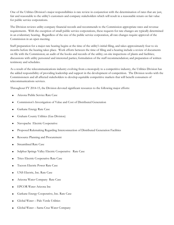One of the Utilities Division's major responsibilities is rate review in conjunction with the determination of rates that are just, fair and reasonable to the utility's customers and company stakeholders which will result in a reasonable return on fair value for public service corporations.

The Division reviews utility company financial records and recommends to the Commission appropriate rates and revenue requirements. With the exception of small public service corporations, these requests for rate changes are typically determined in an evidentiary hearing. Regardless of the size of the public service corporation, all rate changes require approval of the Commission in an open meeting.

Staff preparation for a major rate hearing begins at the time of the utility's initial filing, and takes approximately four to six months before the hearing takes place. Work efforts between the time of filing and a hearing include a review of documents on file with the Commission; an audit of the books and records of the utility; on-site inspections of plants and facilities; discussions with utility personnel and interested parties; formulation of the staff recommendation; and preparation of written testimony and schedules.

As a result of the telecommunications industry evolving from a monopoly to a competitive industry, the Utilities Division has the added responsibility of providing leadership and support in the development of competition. The Division works with the Commissioners and all affected stakeholders to develop equitable competitive markets that will benefit consumers of telecommunications services.

Throughout FY 2014-15, the Division devoted significant resources to the following major efforts:

- Arizona Public Service Rate Case
- Commission's Investigation of Value and Cost of Distributed Generation
- **Garkane Energy Rate Case**
- Graham County Utilities (Gas Division)
- Navopache Electric Cooperative
- Proposed Rulemaking Regarding Interconnection of Distributed Generation Facilities
- Resource Planning and Procurement
- Streamlined Rate Case
- Sulphur Springs Valley Electric Cooperative Rate Case
- **•** Trico Electric Cooperative Rate Case
- Tucson Electric Power Rate Case
- UNS Electric, Inc. Rate Case
- Arizona Water Company Rate Case
- EPCOR Water Arizona Inc
- Garkane Energy Cooperative, Inc. Rate Case
- Global Water Palo Verde Utilities
- Global Water Santa Cruz Water Company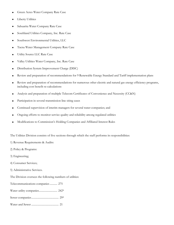- Green Acres Water Company Rate Case
- **•** Liberty Utilities
- Sahuarita Water Company Rate Case
- Southland Utilities Company, Inc. Rate Case
- Southwest Environmental Utilities, LLC
- Tacna Water Management Company Rate Case
- Utility Source LLC Rate Case
- Valley Utilities Water Company, Inc. Rate Case
- Distribution System Improvement Charge (DISC)
- Review and preparation of recommendations for 9 Renewable Energy Standard and Tariff implementation plans
- Review and preparation of recommendations for numerous other electric and natural gas energy efficiency programs, including cost benefit re-calculations
- Analysis and preparation of multiple Telecom Certificates of Convenience and Necessity (CC&N)
- Participation in several transmission line siting cases
- Continued supervision of interim managers for several water companies; and
- Ongoing efforts to monitor service quality and reliability among regulated utilities
- Modifications to Commission's Holding Companies and Affiliated Interest Rules

The Utilities Division consists of five sections through which the staff performs its responsibilities:

- 1) Revenue Requirements & Audits:
- 2) Policy & Programs:
- 3) Engineering;
- 4) Consumer Services;
- 5) Administrative Services.
- The Division oversees the following numbers of utilities:
- Telecommunications companies........... 275
- Water utility companies........................... 242\*
- Sewer companies........................................ 29\*
- Water and Sewer ........................................ 21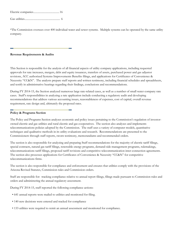\*The Commission oversees over 400 individual water and sewer systems. Multiple systems can be operated by the same utility company.

#### **Revenue Requirements & Audits**

This Section is responsible for the analysis of all financial aspects of utility company applications, including requested approvals for rate increases, mergers, debt and equity issuances, transfers of assets, purchased power and gas adjustor revisions, ACC authorized Systems Improvements Benefits filings, and applications for Certificates of Convenience & Necessity "CC&N". The analysts prepare staff reports and written testimony, including financial schedules and spreadsheets, and testify in administrative hearings regarding their findings, conclusions and recommendations.

During FY 2014-15, the Section analyzed numerous large rate-related cases, as well as a number of small water company rate cases. Staff's responsibilities in analyzing a rate application include conducting a regulatory audit and developing recommendations that address various accounting issues, reasonableness of expenses, cost of capital, overall revenue requirement, rate design and, ultimately the proposed rates.

#### **Policy & Programs Section**

The Policy and Programs Section analyzes economic and policy issues pertaining to the Commission's regulation of investorowned electric and gas utilities and rural electric and gas cooperatives. The section also analyzes and implements telecommunications policies adopted by the Commission. The staff uses a variety of computer models, quantitative techniques and qualitative methods in its utility evaluations and research. Recommendations are presented to the Commissioners through staff reports, sworn testimony, memorandums and recommended orders.

The section is also responsible for analyzing and preparing Staff recommendations for the majority of electric tariff filings, special contracts, natural gas tariff filings, renewable energy programs, demand-side management programs, rulemakings, telecommunications tariff filings, proposed tariff revisions and competitive telecommunication inter-connection agreements. The section also processes applications for Certificates of Convenience & Necessity "CC&N" for competitive telecommunications firms.

The section is also responsible for compliance and enforcement and ensures that utilities comply with the provisions of the Arizona Revised Statutes, Commission rules and Commission orders.

Staff are responsible for: tracking compliance relative to annual report filings, filings made pursuant to Commission rules and orders and administering the annual regulatory assessment.

During FY 2014-15, staff reported the following compliance actions:

- 641 annual reports were mailed to utilities and monitored for filing.
- 140 new decisions were entered and tracked for compliance
- 133 utilities were required to remit an annual assessment and monitored for compliance.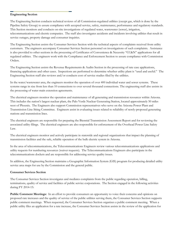#### **Engineering Section**

The Engineering Section conducts technical reviews of all Commission-regulated utilities (except gas, which is done by the Pipeline Safety Group) to assure compliance with accepted service, safety, maintenance, performance and regulatory standards. This Section monitors and conducts on-site investigations of regulated water, wastewater (sewer), irrigation, telecommunications and electric companies. The staff also investigates accidents and incidents involving utilities that result in service outages, property damage and consumer inquiries.

The Engineering Section assists the Consumer Services Section with the technical aspects of complaints received from utility customers. The engineers accompany Consumer Services Section personnel on investigations of such complaints. Assistance is also provided to other sections in the processing of Certificates of Convenience & Necessity "CC&N" applications for all regulated utilities. The engineers work with the Compliance and Enforcement Section to assure compliance with Commission Orders.

The Engineering Section assists the Revenue Requirements & Audits Section in the processing of rate case applications, financing applications and other cases. Inspections are performed to determine whether utility plant is "used and useful." The Engineering Section staff also reviews and/or conducts cost of service studies filed by the utilities.

In the water/wastewater area, the engineers monitor the operation of over 400 individual water and sewer systems. These systems range in size from less than 10 connections to over several thousand connections. The engineering staff also assists in the processing of water main extension agreements.

The electrical engineers monitor the operation and maintenance of all generating and transmission resources within Arizona. This includes the nation's largest nuclear plant, the Palo Verde Nuclear Generating Station, located approximately 50 miles west of Phoenix. The Engineers also support Commission representatives who serve on the Arizona Power Plant and Transmission Line Siting Committee. Engineers assist in evaluating issues related to reliability of newly-proposed generating stations and transmission lines.

The electrical engineers are responsible for preparing the Biennial Transmission Assessment Report and for reviewing the associated utility filings. The electrical engineers are also responsible for enforcement of the Overhead Power Line Safety Law.

The electrical engineers monitor and actively participate in statewide and regional organizations that impact the planning of transmission facilities and the safe, reliable operation of the bulk electric system in Arizona.

In the area of telecommunications, the Telecommunications Engineers review various telecommunications applications and utility requests for numbering resources (waiver requests). The Telecommunications Engineers also participate in the telecommunications dockets and are responsible for addressing service quality issues.

In addition, the Engineering Section maintains a Geographic Information System (GIS) program for producing detailed utility service area maps for use by the Commission and the general public.

## **Consumer Services Section**

The Consumer Services Section investigates and mediates complaints from the public regarding operation, billing, terminations, quality of service and facilities of public service corporations. The Section engaged in the following activities during FY 2014-15:

**Public Comment Meetings:** In an effort to provide consumers an opportunity to voice their concerns and opinions on proposed rate increases and the quality of service of the public utilities serving them, the Consumer Services Section supports public comment meetings. When requested, the Consumer Services Section organizes a public comment meeting. When a public utility files an application for a rate increase, the Consumer Services Section assists in the review of the application for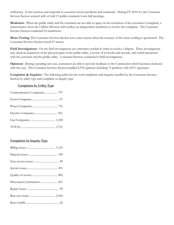sufficiency. It also receives and responds to customer service problems and comments. During FY 2014-15, the Consumer Services Section assisted with or held 11 public comment/town hall meetings.

**Mediation:** When the public utility and the consumer are not able to agree on the resolution of the consumer's complaint, a representative from the Utilities Division will conduct an independent mediation to resolve the complaint. The Consumer Services Section conducted 16 mediations.

**Meter Testing:** The Consumer Services Section tests water meters when the accuracy of the meter reading is questioned. The Consumer Services Section tested 47 meters.

**Field Investigations:** On-site field investigations are sometimes needed in order to resolve a dispute. These investigations may entail an inspection of the physical plant of the public utility, a review of its books and records, and verbal interaction with the customer and the public utility. Consumer Services conducted 6 field investigations.

**Opinions:** During a pending rate case, consumers are able to provide feedback to the Commission which becomes docketed with the case. The Consumer Services Section handled 2,978 opinions including 75 petitions with 4,911 signatures.

**Complaints & Inquiries:** The following tables list the total complaints and inquiries handled by the Consumer Services Section by utility type and complaint or inquiry type:

## **Complaints by Utility Type**

## **Complaints by Inquiry Type**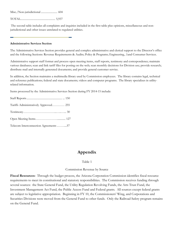Misc./Non-jurisdictional ........................ 604

TOTAL................................................... 5,937

The second table includes all complaints and inquiries included in the first table plus opinions, miscellaneous and nonjurisdictional and other issues unrelated to regulated utilities.

#### **Administrative Services Section**

The Administrative Services Section provides general and complex administrative and clerical support to the Director's office and the following Sections: Revenue Requirements & Audits; Policy & Programs; Engineering, .1and Consumer Services.

Administrative support staff format and process open meeting items, staff reports, testimony and correspondence; maintain various databases; scan and link tariff files for posting on the web; scan monthly decisions for Division use; provide research; distribute mail and internally generated documents; and provide general customer service.

In addition, the Section maintains a multimedia library used by Commission employees. The library contains legal, technical and reference publications; federal and state documents; videos and computer programs. The library specializes in utilityrelated information.

Items processed by the Administrative Services Section during FY 2014-15 include:

| Tariffs Administratively Approved 255 |  |
|---------------------------------------|--|
|                                       |  |
|                                       |  |
| Telecom Interconnection Agreements 57 |  |

# **Appendix**

Table 1

Commission Revenue by Source

**Fiscal Resources:** Through the budget process, the Arizona Corporation Commission identifies fiscal resource requirements to meet its constitutional and statutory responsibilities. The Commission receives funding through several sources: the State General Fund, the Utility Regulation Revolving Funds, the Arts Trust Fund, the Investment Management Act Fund, the Public Access Fund and Federal grants. All sources except federal grants are subject to legislative appropriation. Beginning in FY 10, the Commissioners' Wing, and Corporations and Securities Divisions were moved from the General Fund to other funds. Only the Railroad Safety program remains on the General Fund.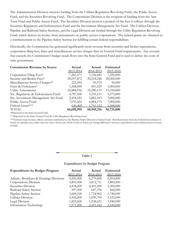The Administration Division receives funding from the Utilities Regulation Revolving Fund., the Public Access Fund, and the Securities Revolving Fund. The Corporations Division is the recipient of funding from the Arts Trust Fund and Public Access Fund. The Securities Division receives a portion of the fees it collects through the Securities Regulatory and Enforcement Fund and the Investment Management Act Fund. The Utilities Division, Pipeline and Railroad Safety Sections, and the Legal Division are funded through the Utility Regulation Revolving Fund, which derives its money from assessments on public service corporations. The federal grants are obtained as a reimbursement to the Pipeline Safety Section for fulfilling certain federal responsibilities.

Historically, the Commission has generated significantly more revenue from securities and broker registrations, corporation filing fees, fines and miscellaneous service charges than its General Fund requirements. Any revenue that exceeds the Commission's budget needs flows into the State General Fund and is used to defray the costs of state government.

| <b>Commission Revenue by Source</b> | Actual     | Actual     | <b>Estimated</b> |
|-------------------------------------|------------|------------|------------------|
|                                     | 2013-2014  | 2014-2015  | 2015-2016        |
| Corporation Filing Fees*            | 7,281,471  | 7,156,445  | 7,250,000        |
| Security and Broker Fees*           | 20,057,872 | 20,518,248 | 20,000,000       |
| Miscellaneous Service Charges**     | 221,094    | 50,374     | 50,000           |
| Fines & Forfeitures*                | 1,368,090  | 891,029    | 1,000,000        |
| <b>Utility Assessments</b>          | 22,884,956 | 15,280,119 | 13,350,000       |
| Sec. Regulatory & Enforcement Fund  | 4,787,500  | 5,535,511  | 5,575,000        |
| Sec. Investment Management Act Fund | 2,434,181  | 2,882,163  | 3,000,000        |
| Public Access Fund                  | 7,033,422  | 6,884,175  | 7,000,000        |
| Federal Grant***                    | 630,409    | 1,751,152  | 1,500,000        |
| <b>TOTAL</b>                        | 66,698,995 | 60,949,216 | 58,725,000       |
|                                     |            |            |                  |

\*Deposited in the State General Fund

\*\* Deposited in the State General Fund & Utility Regulation Revolving Fund

\*\*\*Federal Grant revenue reflects amounts reimbursed to the Pipeline Safety Division's Federal Fund. Reimbursement from the Federal Government is based on calendar year, rather than the state's fiscal year, which results in fiscal year timing differences between expenditures and reimbursement revenue receipts.

# Table 2

## Expenditures by Budget Program

| <b>Expenditures by Budget Program</b>  | Actual    | Actual    | <b>Estimated</b> |
|----------------------------------------|-----------|-----------|------------------|
|                                        | 2013-2014 | 2014-2015 | 2015-2016        |
| Admin., Broadcast & Hearings Divisions | 6,205,400 | 6,279,858 | 6,264,800        |
| Corporations Division                  | 3,803,500 | 3,812,711 | 3,800,000        |
| Securities Division                    | 4,418,200 | 4,421,200 | 5,300,000        |
| Railroad Safety Section                | 597,500   | 647,196   | 660,000          |
| Pipeline Safety Section                | 1,604,100 | 1,724,965 | 1,740,000        |
| Utilities Division                     | 5,502,400 | 5,599,794 | 5,525,000        |
| Legal Division                         | 1,852,600 | 1,938,621 | 1,940,000        |
| Information Technology                 | 1,971,500 | 2,455,162 | 2,550,000        |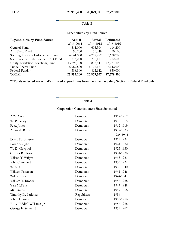# Table 3

# Expenditures by Fund Source

| <b>Expenditures by Fund Source</b> | Actual     | Actual     | Estimated  |
|------------------------------------|------------|------------|------------|
|                                    | 2013-2014  | 2014-2015  | 2015-2016  |
| General Fund                       | 511,000    | 605,504    | 614,200    |
| Arts Trust Fund                    | 93,700     | 50,048     | 50,100     |
| Sec Regulatory & Enforcement Fund  | 4,661,000  | 4,717,989  | 5,628,700  |
| Sec Investment Management Act Fund | 714,200    | 715,114    | 712,600    |
| Utility Regulation Revolving Fund  | 13,598,700 | 13,807,547 | 13,781,300 |
| Public Access Fund                 | 5,987,800  | 6,171,163  | 6,142,900  |
| Federal Funds**                    | 388,800    | 812,142    | 850,000    |
| <b>TOTAL</b>                       | 25,955,200 | 26,879,507 | 27,779,800 |

\*\*Totals reflected are actual/estimated expenditures from the Pipeline Safety Section's Federal Fund only.

# Table 4

Corporation Commissioners Since Statehood

| A.W. Cole                   | Democrat   | 1912-1917 |
|-----------------------------|------------|-----------|
| W. P. Geary                 | Democrat   | 1912-1915 |
| F. A. Jones                 | Democrat   | 1912-1919 |
| Amos A. Betts               | Democrat   | 1917-1933 |
|                             |            | 1938-1944 |
| David F. Johnson            | Democrat   | 1919-1924 |
| Loren Vaughn                | Democrat   | 1921-1932 |
| W. D. Claypool              | Democrat   | 1925-1930 |
| Charles R. Howe             | Democrat   | 1931-1936 |
| Wilson T. Wright            | Democrat   | 1933-1953 |
| John Cummard                | Democrat   | 1933-1934 |
| W. M. Cox                   | Democrat   | 1935-1940 |
| William Peterson            | Democrat   | 1941-1946 |
| William Eden                | Democrat   | 1944-1947 |
| William T. Brooks           | Democrat   | 1947-1958 |
| Yale McFate                 | Democrat   | 1947-1948 |
| Mit Simms                   | Democrat   | 1949-1958 |
| Timothy D. Parkman          | Republican | 1954      |
| John H. Barry               | Democrat   | 1955-1956 |
| E. T. "Eddie" Williams, Jr. | Democrat   | 1957-1968 |
| George F. Senner, Jr.       | Democrat   | 1959-1962 |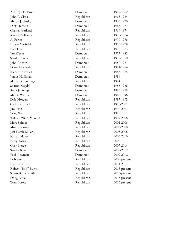| A. P. "Jack" Buzard    | Democrat   | 1959-1962    |
|------------------------|------------|--------------|
| John P. Clark          | Republican | 1963-1964    |
| Milton J. Husky        | Democrat   | 1965-1970    |
| Dick Herbert           | Democrat   | 1965-1971    |
| Charles Garland        | Republican | 1969-1974    |
| Russell Williams       | Republican | 1970-1974    |
| Al Faron               | Republican | 1970-1976    |
| Ernest Garfield        | Republican | 1973-1978    |
| <b>Bud Tims</b>        | Republican | 1975-1983    |
| Jim Weeks              | Democrat   | 1977-1982    |
| <b>Stanley Akers</b>   | Republican | 1979-1980    |
| John Ahearn            | Democrat   | 1980-1981    |
| Diane McCarthy         | Republican | 1981-1984    |
| Richard Kimball        | Democrat   | 1983-1985    |
| Junius Hoffman         | Democrat   | 1984         |
| Marianne Jennings      | Republican | 1984         |
| Sharon Megdal          | Democrat   | 1985-1986    |
| Renz Jennings          | Democrat   | 1985-1999    |
| Marcia Weeks           | Democrat   | 1985-1996    |
| Dale Morgan            | Republican | 1987-1995    |
| Carl J. Kunasek        | Republican | 1995-2001    |
| Jim Irvin              | Republican | 1997-2003    |
| Tony West              | Republican | 1999         |
| William "Bill" Mundell | Republican | 1999-2008    |
| Marc Spitzer           | Republican | 2001-2006    |
| Mike Gleason           | Republican | 2003-2008    |
| Jeff Hatch-Miller      | Republican | 2003-2008    |
| Kristin Mayes          | Republican | 2003-2010    |
| Barry Wong             | Republican | 2006         |
| Gary Pierce            | Republican | 2007-2014    |
| Sandra Kennedy         | Democrat   | 2009-2012    |
| Paul Newman            | Democrat   | 2009-2012    |
| <b>Bob Stump</b>       | Republican | 2009-present |
| Brenda Burns           | Republican | 2011-2014    |
| Robert "Bob" Burns     | Republican | 2013-present |
| Susan Bitter Smith     | Republican | 2013-present |
| Doug Little            | Republican | 2015-present |
| Tom Forese             | Republican | 2015-present |